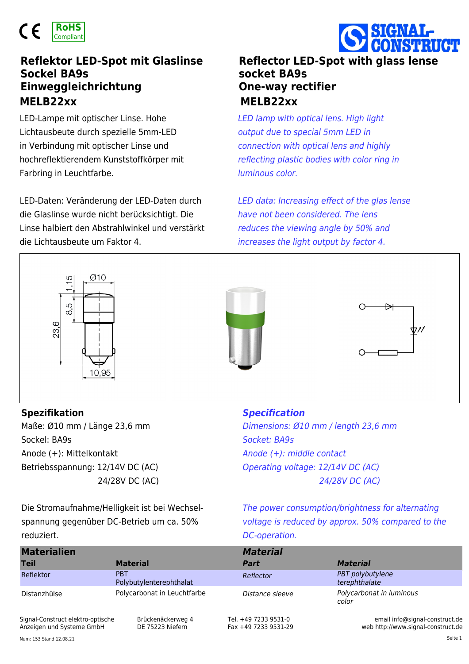

## **MELB22xx MELB22xx Reflektor LED-Spot mit Glaslinse Sockel BA9s Einweggleichrichtung**

LED-Lampe mit optischer Linse. Hohe Lichtausbeute durch spezielle 5mm-LED in Verbindung mit optischer Linse und hochreflektierendem Kunststoffkörper mit Farbring in Leuchtfarbe.

LED-Daten: Veränderung der LED-Daten durch die Glaslinse wurde nicht berücksichtigt. Die Linse halbiert den Abstrahlwinkel und verstärkt die Lichtausbeute um Faktor 4.

## **Reflector LED-Spot with glass lense socket BA9s One-way rectifier**

*LED lamp with optical lens. High light output due to special 5mm LED in connection with optical lens and highly reflecting plastic bodies with color ring in luminous color.*

*LED data: Increasing effect of the glas lense have not been considered. The lens reduces the viewing angle by 50% and increases the light output by factor 4.*



Maße: Ø10 mm / Länge 23,6 mm Sockel: BA9s Anode (+): Mittelkontakt Betriebsspannung: 12/14V DC (AC) 24/28V DC (AC) **Spezifikation** *Specification*

*Dimensions: Ø10 mm / length 23,6 mm Socket: BA9s Anode (+): middle contact Operating voltage: 12/14V DC (AC) 24/28V DC (AC)*

Die Stromaufnahme/Helligkeit ist bei Wechselspannung gegenüber DC-Betrieb um ca. 50% reduziert.

*The power consumption/brightness for alternating voltage is reduced by approx. 50% compared to the DC-operation.*

| <b>Materialien</b> |                                       | <b>Material</b> |                                   |
|--------------------|---------------------------------------|-----------------|-----------------------------------|
| <b>Teil</b>        | <b>Material</b>                       | Part            | <b>Material</b>                   |
| Reflektor          | <b>PRT</b><br>Polybutylenterephthalat | Reflector       | PBT polybutylene<br>terephthalate |
| Distanzhülse       | Polycarbonat in Leuchtfarbe           | Distance sleeve | Polycarbonat in luminous<br>color |

Signal-Construct elektro-optische Anzeigen und Systeme GmbH

Brückenäckerweg 4 DE 75223 Niefern

Tel. +49 7233 9531-0 Fax +49 7233 9531-29

email info@signal-construct.de web http://www.signal-construct.de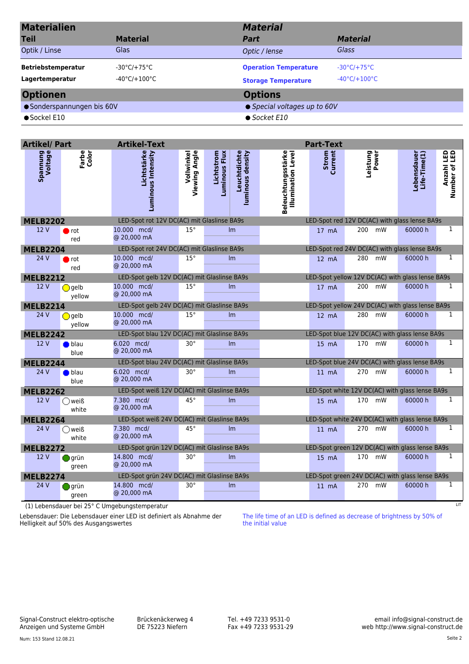| <b>Materialien</b><br><b>Teil</b><br>Optik / Linse | <b>Material</b><br>Glas                                    | <b>Material</b><br>Part<br>Optic / lense                   | <b>Material</b><br>Glass                                              |  |  |  |
|----------------------------------------------------|------------------------------------------------------------|------------------------------------------------------------|-----------------------------------------------------------------------|--|--|--|
| <b>Betriebstemperatur</b><br>Lagertemperatur       | $-30^{\circ}$ C/+75°C<br>$-40^{\circ}$ C/+100 $^{\circ}$ C | <b>Operation Temperature</b><br><b>Storage Temperature</b> | $-30^{\circ}$ C/+75 $^{\circ}$ C<br>$-40^{\circ}$ C/+100 $^{\circ}$ C |  |  |  |
| <b>Optionen</b>                                    |                                                            | <b>Options</b>                                             |                                                                       |  |  |  |
| ● Sonderspannungen bis 60V                         |                                                            | ● Special voltages up to 60V                               |                                                                       |  |  |  |
| $\bullet$ Sockel E10                               |                                                            | $\bullet$ Socket E10                                       |                                                                       |  |  |  |

| <b>Artikel/ Part</b>       |                           | <b>Artikel-Text</b>                         |               |                             |                                  |                                          | <b>Part-Text</b> |                                                  |                             |                             |
|----------------------------|---------------------------|---------------------------------------------|---------------|-----------------------------|----------------------------------|------------------------------------------|------------------|--------------------------------------------------|-----------------------------|-----------------------------|
| <b>Spannung</b><br>Voltage | Farbe<br>Color            | Lichtstärke<br>Luminous Intensity           | Viewing Angle | Lichtstrom<br>Luminous Flux | Leuchtdichte<br>luminous density | Beleuchtungsstärke<br>Illumination Level | Strom<br>Current | Leistung<br>Power                                | Lebensdauer<br>Life-Time(1) | Anzahl LED<br>Number of LED |
| <b>MELB2202</b>            |                           | LED-Spot rot 12V DC(AC) mit Glaslinse BA9s  |               |                             |                                  |                                          |                  | LED-Spot red 12V DC(AC) with glass lense BA9s    |                             |                             |
| 12V                        | $\blacksquare$ rot<br>red | 10.000 mcd/<br>@ 20,000 mA                  | $15^\circ$    |                             | Im                               |                                          | $17 \text{ mA}$  | 200<br>mW                                        | 60000h                      | $\mathbf{1}$                |
| <b>MELB2204</b>            |                           | LED-Spot rot 24V DC(AC) mit Glaslinse BA9s  |               |                             |                                  |                                          |                  | LED-Spot red 24V DC(AC) with glass lense BA9s    |                             |                             |
| 24 V                       | $\blacksquare$ rot<br>red | 10.000 mcd/<br>@ 20,000 mA                  | $15^{\circ}$  |                             | Im                               |                                          | $12 \text{ mA}$  | 280<br>mW                                        | 60000 h                     | $\mathbf{1}$                |
| <b>MELB2212</b>            |                           | LED-Spot gelb 12V DC(AC) mit Glaslinse BA9s |               |                             |                                  |                                          |                  | LED-Spot yellow 12V DC(AC) with glass lense BA9s |                             |                             |
| 12V                        | ◯ gelb<br>yellow          | 10.000 mcd/<br>@ 20,000 mA                  | $15^{\circ}$  |                             | Im                               |                                          | 17 mA            | 200 mW                                           | 60000 h                     | $\mathbf{1}$                |
| <b>MELB2214</b>            |                           | LED-Spot gelb 24V DC(AC) mit Glaslinse BA9s |               |                             |                                  |                                          |                  | LED-Spot yellow 24V DC(AC) with glass lense BA9s |                             |                             |
| 24V                        | <b>O</b> gelb<br>yellow   | 10.000 mcd/<br>@ 20,000 mA                  | $15^\circ$    |                             | Im                               |                                          | $12 \text{ mA}$  | 280<br>mW                                        | 60000 h                     | $\mathbf{1}$                |
| <b>MELB2242</b>            |                           | LED-Spot blau 12V DC(AC) mit Glaslinse BA9s |               |                             |                                  |                                          |                  | LED-Spot blue 12V DC(AC) with glass lense BA9s   |                             |                             |
| 12 V                       | $\bullet$ blau<br>blue    | 6.020 mcd/<br>@ 20,000 mA                   | $30^{\circ}$  |                             | Im                               |                                          | 15 mA            | 170 mW                                           | 60000 h                     | $\overline{1}$              |
| <b>MELB2244</b>            |                           | LED-Spot blau 24V DC(AC) mit Glaslinse BA9s |               |                             |                                  |                                          |                  | LED-Spot blue 24V DC(AC) with glass lense BA9s   |                             |                             |
| 24 V                       | $\bullet$ blau<br>blue    | 6.020 mcd/<br>@ 20,000 mA                   | $30^{\circ}$  |                             | Im                               |                                          | $11 \text{ mA}$  | 270 mW                                           | 60000 h                     | $\mathbf{1}$                |
| <b>MELB2262</b>            |                           | LED-Spot weiß 12V DC(AC) mit Glaslinse BA9s |               |                             |                                  |                                          |                  | LED-Spot white 12V DC(AC) with glass lense BA9s  |                             |                             |
| 12V                        | ○weiß<br>white            | 7.380 mcd/<br>@ 20,000 mA                   | $45^\circ$    |                             | Im                               |                                          | $15 \text{ mA}$  | 170 mW                                           | 60000 h                     | $\mathbf{1}$                |
| <b>MELB2264</b>            |                           | LED-Spot weiß 24V DC(AC) mit Glaslinse BA9s |               |                             |                                  |                                          |                  | LED-Spot white 24V DC(AC) with glass lense BA9s  |                             |                             |
| 24 V                       | ∩weiß<br>white            | 7.380 mcd/<br>@ 20,000 mA                   | $45^{\circ}$  |                             | Im                               |                                          | $11 \text{ mA}$  | 270 mW                                           | 60000 h                     | $\overline{1}$              |
| <b>MELB2272</b>            |                           | LED-Spot grün 12V DC(AC) mit Glaslinse BA9s |               |                             |                                  |                                          |                  | LED-Spot green 12V DC(AC) with glass lense BA9s  |                             |                             |
| 12V                        | $\Box$ grün<br>green      | 14.800 mcd/<br>@ 20,000 mA                  | $30^{\circ}$  |                             | Im                               |                                          | 15 mA            | 170 mW                                           | 60000 h                     | $\mathbf{1}$                |
| <b>MELB2274</b>            |                           | LED-Spot grün 24V DC(AC) mit Glaslinse BA9s |               |                             |                                  |                                          |                  | LED-Spot green 24V DC(AC) with glass lense BA9s  |                             |                             |
| 24V                        | grün<br>green             | 14.800 mcd/<br>@ 20,000 mA                  | $30^\circ$    |                             | Im                               |                                          | $11 \text{ mA}$  | 270 mW                                           | 60000 h                     | $\mathbf{1}$                |

LIT (1) Lebensdauer bei 25° C Umgebungstemperatur

Lebensdauer: Die Lebensdauer einer LED ist definiert als Abnahme der Helligkeit auf 50% des Ausgangswertes

The life time of an LED is defined as decrease of brightness by 50% of the initial value